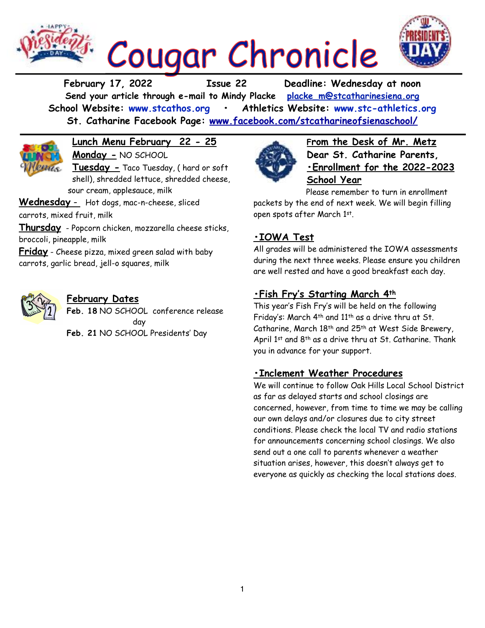

**February 17, 2022 Issue 22 Deadline: Wednesday at noon Send your article through e-mail to Mindy Placke [placke\\_m@stcatharinesiena.org](mailto:placke_m@stcatharinesiena.org) School Website: [www.stcathos.org](http://www.stcathos.org) • Athletics Website: [www.stc-athletics.org](http://www.stc-athletics.org) St. Catharine Facebook Page: [www.facebook.com/stcatharineofsienaschool/](https://www.facebook.com/stcatharineofsienaschool/)**



**Lunch Menu February 22 - 25 Monday -** NO SCHOOL

**Tuesday -** Taco Tuesday, ( hard or soft shell), shredded lettuce, shredded cheese, sour cream, applesauce, milk

**Wednesday** - Hot dogs, mac-n-cheese, sliced

carrots, mixed fruit, milk

**Thursday** - Popcorn chicken, mozzarella cheese sticks, broccoli, pineapple, milk

**Friday** - Cheese pizza, mixed green salad with baby carrots, garlic bread, jell-o squares, milk



### **February Dates**

**Feb. 18** NO SCHOOL conference release day **Feb. 21** NO SCHOOL Presidents' Day



**From the Desk of Mr. Metz Dear St. Catharine Parents, •Enrollment for the 2022-2023 School Year**

Please remember to turn in enrollment packets by the end of next week. We will begin filling open spots after March 1st.

# **•IOWA Test**

All grades will be administered the IOWA assessments during the next three weeks. Please ensure you children are well rested and have a good breakfast each day.

# **•Fish Fry's Starting March 4th**

This year's Fish Fry's will be held on the following Friday's: March 4th and 11th as a drive thru at St. Catharine, March 18th and 25th at West Side Brewery, April 1st and 8th as a drive thru at St. Catharine. Thank you in advance for your support.

## **•Inclement Weather Procedures**

We will continue to follow Oak Hills Local School District as far as delayed starts and school closings are concerned, however, from time to time we may be calling our own delays and/or closures due to city street conditions. Please check the local TV and radio stations for announcements concerning school closings. We also send out a one call to parents whenever a weather situation arises, however, this doesn't always get to everyone as quickly as checking the local stations does.